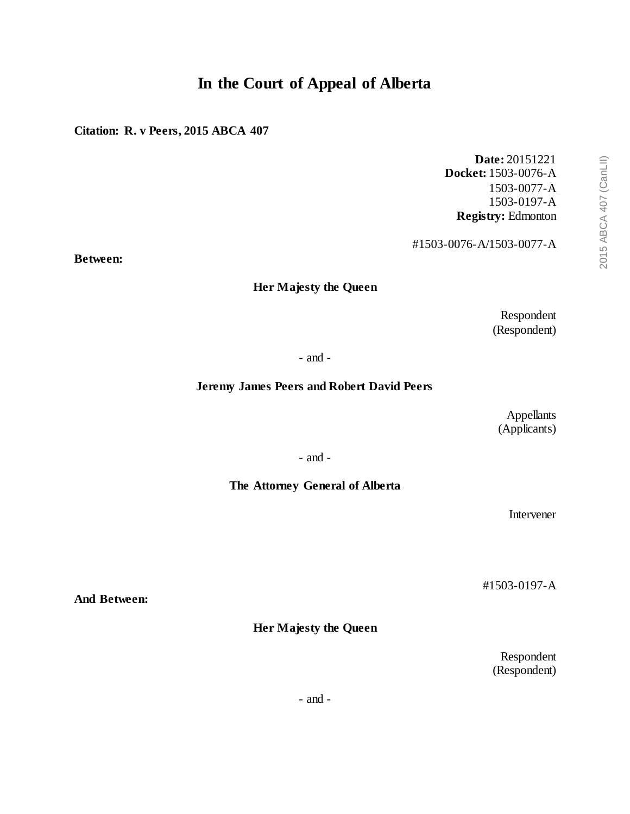# **In the Court of Appeal of Alberta**

# **Citation: R. v Peers, 2015 ABCA 407**

**Date:** 20151221 **Docket:** 1503-0076-A 1503-0077-A 1503-0197-A **Registry:** Edmonton

#1503-0076-A/1503-0077-A

**Between:**

# **Her Majesty the Queen**

Respondent (Respondent)

- and -

#### **Jeremy James Peers and Robert David Peers**

Appellants (Applicants)

- and -

#### **The Attorney General of Alberta**

Intervener

#1503-0197-A

**And Between:**

**Her Majesty the Queen**

Respondent (Respondent)

- and -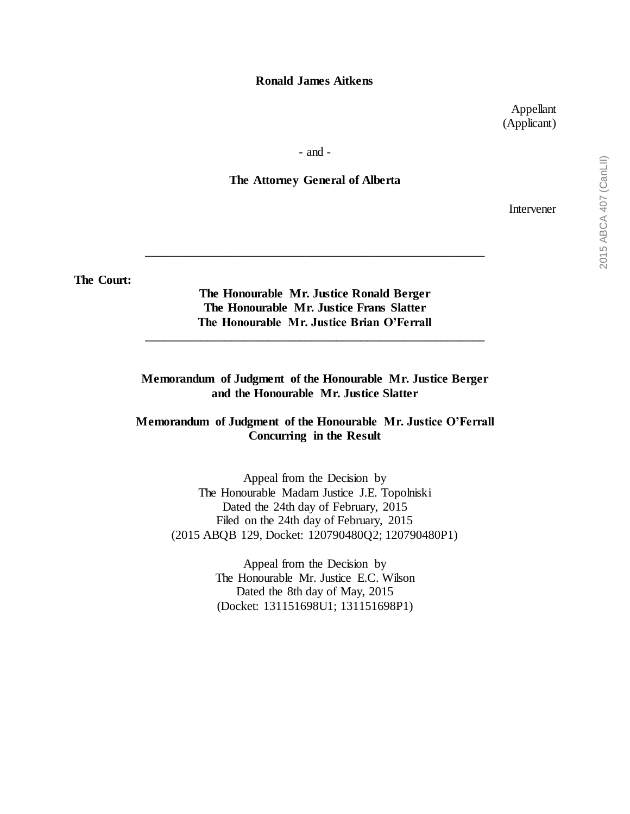#### **Ronald James Aitkens**

Appellant (Applicant)

- and -

#### **The Attorney General of Alberta**

Intervener

**The Court:**

# **The Honourable Mr. Justice Ronald Berger The Honourable Mr. Justice Frans Slatter The Honourable Mr. Justice Brian O'Ferrall**

**\_\_\_\_\_\_\_\_\_\_\_\_\_\_\_\_\_\_\_\_\_\_\_\_\_\_\_\_\_\_\_\_\_\_\_\_\_\_\_\_\_\_\_\_\_\_\_\_\_\_\_\_\_\_\_**

\_\_\_\_\_\_\_\_\_\_\_\_\_\_\_\_\_\_\_\_\_\_\_\_\_\_\_\_\_\_\_\_\_\_\_\_\_\_\_\_\_\_\_\_\_\_\_\_\_\_\_\_\_\_\_

# **Memorandum of Judgment of the Honourable Mr. Justice Berger and the Honourable Mr. Justice Slatter**

#### **Memorandum of Judgment of the Honourable Mr. Justice O'Ferrall Concurring in the Result**

Appeal from the Decision by The Honourable Madam Justice J.E. Topolniski Dated the 24th day of February, 2015 Filed on the 24th day of February, 2015 (2015 ABQB 129, Docket: 120790480Q2; 120790480P1)

> Appeal from the Decision by The Honourable Mr. Justice E.C. Wilson Dated the 8th day of May, 2015 (Docket: 131151698U1; 131151698P1)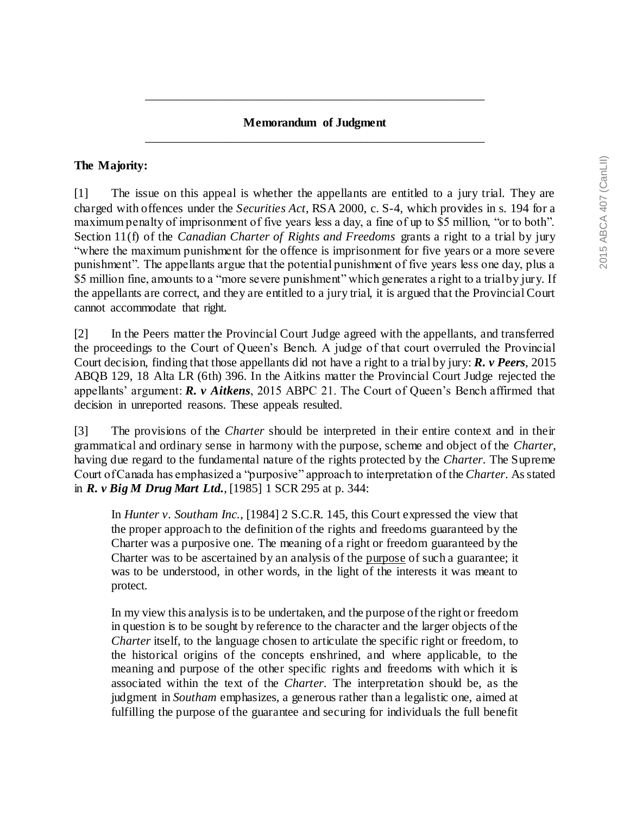# **Memorandum of Judgment** \_\_\_\_\_\_\_\_\_\_\_\_\_\_\_\_\_\_\_\_\_\_\_\_\_\_\_\_\_\_\_\_\_\_\_\_\_\_\_\_\_\_\_\_\_\_\_\_\_\_\_\_\_\_\_

\_\_\_\_\_\_\_\_\_\_\_\_\_\_\_\_\_\_\_\_\_\_\_\_\_\_\_\_\_\_\_\_\_\_\_\_\_\_\_\_\_\_\_\_\_\_\_\_\_\_\_\_\_\_\_

#### **The Majority:**

[1] The issue on this appeal is whether the appellants are entitled to a jury trial. They are charged with offences under the *Securities Act*, RSA 2000, c. S-4, which provides in s. 194 for a maximum penalty of imprisonment of five years less a day, a fine of up to \$5 million, "or to both". Section 11(f) of the *Canadian Charter of Rights and Freedoms* grants a right to a trial by jury "where the maximum punishment for the offence is imprisonment for five years or a more severe punishment". The appellants argue that the potential punishment of five years less one day, plus a \$5 million fine, amounts to a "more severe punishment" which generates a right to a trial by jury. If the appellants are correct, and they are entitled to a jury trial, it is argued that the Provincial Court cannot accommodate that right.

[2] In the Peers matter the Provincial Court Judge agreed with the appellants, and transferred the proceedings to the Court of Queen's Bench. A judge of that court overruled the Provincial Court decision, finding that those appellants did not have a right to a trial by jury: *R. v Peers*, 2015 ABQB 129, 18 Alta LR (6th) 396. In the Aitkins matter the Provincial Court Judge rejected the appellants' argument: *R. v Aitkens*, 2015 ABPC 21. The Court of Queen's Bench affirmed that decision in unreported reasons. These appeals resulted.

[3] The provisions of the *Charter* should be interpreted in their entire context and in their grammatical and ordinary sense in harmony with the purpose, scheme and object of the *Charter*, having due regard to the fundamental nature of the rights protected by the *Charter*. The Supreme Court of Canada has emphasized a "purposive" approach to interpretation of the *Charter*. As stated in *R. v Big M Drug Mart Ltd.*, [1985] 1 SCR 295 at p. 344:

In *Hunter v. Southam Inc.*, [1984] 2 S.C.R. 145, this Court expressed the view that the proper approach to the definition of the rights and freedoms guaranteed by the Charter was a purposive one. The meaning of a right or freedom guaranteed by the Charter was to be ascertained by an analysis of the purpose of such a guarantee; it was to be understood, in other words, in the light of the interests it was meant to protect.

In my view this analysis is to be undertaken, and the purpose of the right or freedom in question is to be sought by reference to the character and the larger objects of the *Charter* itself, to the language chosen to articulate the specific right or freedom, to the historical origins of the concepts enshrined, and where applicable, to the meaning and purpose of the other specific rights and freedoms with which it is associated within the text of the *Charter*. The interpretation should be, as the judgment in *Southam* emphasizes, a generous rather than a legalistic one, aimed at fulfilling the purpose of the guarantee and securing for individuals the full benefit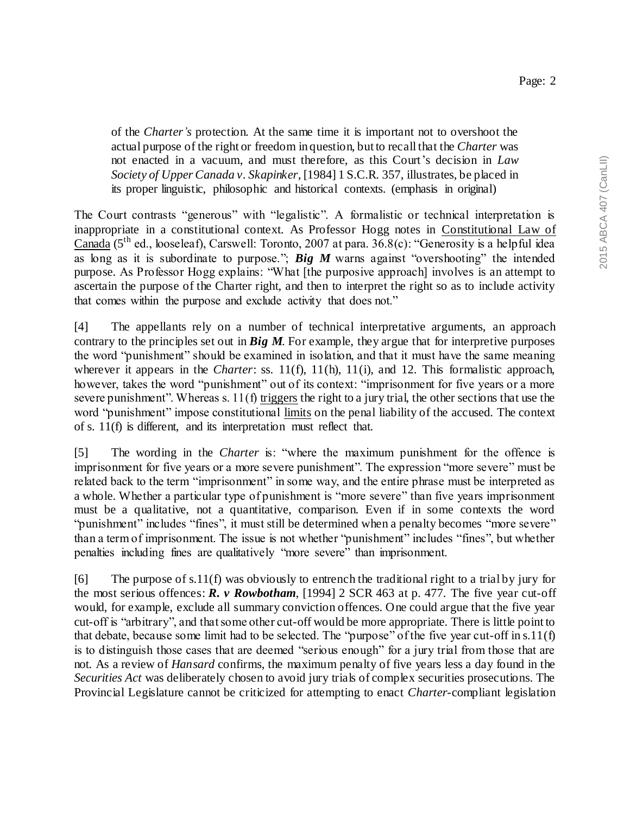of the *Charter's* protection. At the same time it is important not to overshoot the actual purpose of the right or freedom in question, but to recall that the *Charter* was not enacted in a vacuum, and must therefore, as this Court's decision in *Law Society of Upper Canada v. Skapinker*, [1984] 1 S.C.R. 357, illustrates, be placed in its proper linguistic, philosophic and historical contexts. (emphasis in original)

The Court contrasts "generous" with "legalistic". A formalistic or technical interpretation is inappropriate in a constitutional context. As Professor Hogg notes in Constitutional Law of Canada (5th ed., looseleaf), Carswell: Toronto, 2007 at para. 36.8(c): "Generosity is a helpful idea as long as it is subordinate to purpose."; *Big M* warns against "overshooting" the intended purpose. As Professor Hogg explains: "What [the purposive approach] involves is an attempt to ascertain the purpose of the Charter right, and then to interpret the right so as to include activity that comes within the purpose and exclude activity that does not."

[4] The appellants rely on a number of technical interpretative arguments, an approach contrary to the principles set out in *Big M*. For example, they argue that for interpretive purposes the word "punishment" should be examined in isolation, and that it must have the same meaning wherever it appears in the *Charter*: ss. 11(f), 11(h), 11(i), and 12. This formalistic approach, however, takes the word "punishment" out of its context: "imprisonment for five years or a more severe punishment". Whereas s. 11(f) triggers the right to a jury trial, the other sections that use the word "punishment" impose constitutional limits on the penal liability of the accused. The context of s. 11(f) is different, and its interpretation must reflect that.

[5] The wording in the *Charter* is: "where the maximum punishment for the offence is imprisonment for five years or a more severe punishment". The expression "more severe" must be related back to the term "imprisonment" in some way, and the entire phrase must be interpreted as a whole. Whether a particular type of punishment is "more severe" than five years imprisonment must be a qualitative, not a quantitative, comparison. Even if in some contexts the word "punishment" includes "fines", it must still be determined when a penalty becomes "more severe" than a term of imprisonment. The issue is not whether "punishment" includes "fines", but whether penalties including fines are qualitatively "more severe" than imprisonment.

[6] The purpose of s.11(f) was obviously to entrench the traditional right to a trial by jury for the most serious offences: *R. v Rowbotham*, [1994] 2 SCR 463 at p. 477. The five year cut-off would, for example, exclude all summary conviction offences. One could argue that the five year cut-off is "arbitrary", and that some other cut-off would be more appropriate. There is little point to that debate, because some limit had to be selected. The "purpose" of the five year cut-off in s.11(f) is to distinguish those cases that are deemed "serious enough" for a jury trial from those that are not. As a review of *Hansard* confirms, the maximum penalty of five years less a day found in the *Securities Act* was deliberately chosen to avoid jury trials of complex securities prosecutions. The Provincial Legislature cannot be criticized for attempting to enact *Charter*-compliant legislation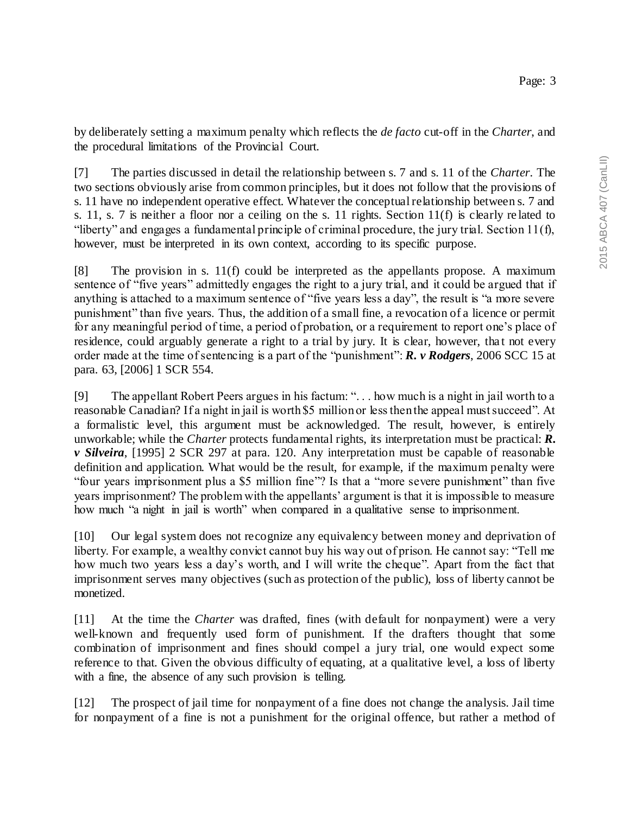by deliberately setting a maximum penalty which reflects the *de facto* cut-off in the *Charter*, and the procedural limitations of the Provincial Court.

[7] The parties discussed in detail the relationship between s. 7 and s. 11 of the *Charter*. The two sections obviously arise from common principles, but it does not follow that the provisions of s. 11 have no independent operative effect. Whatever the conceptual relationship between s. 7 and s. 11, s. 7 is neither a floor nor a ceiling on the s. 11 rights. Section 11(f) is clearly re lated to "liberty" and engages a fundamental principle of criminal procedure, the jury trial. Section 11(f), however, must be interpreted in its own context, according to its specific purpose.

 $[8]$  The provision in s. 11(f) could be interpreted as the appellants propose. A maximum sentence of "five years" admittedly engages the right to a jury trial, and it could be argued that if anything is attached to a maximum sentence of "five years less a day", the result is "a more severe punishment" than five years. Thus, the addition of a small fine, a revocation of a licence or permit for any meaningful period of time, a period of probation, or a requirement to report one's place of residence, could arguably generate a right to a trial by jury. It is clear, however, that not every order made at the time of sentencing is a part of the "punishment": *R. v Rodgers*, 2006 SCC 15 at para. 63, [2006] 1 SCR 554.

[9] The appellant Robert Peers argues in his factum: ". . . how much is a night in jail worth to a reasonable Canadian? If a night in jail is worth \$5 million or less then the appeal must succeed". At a formalistic level, this argument must be acknowledged. The result, however, is entirely unworkable; while the *Charter* protects fundamental rights, its interpretation must be practical: *R. v Silveira*, [1995] 2 SCR 297 at para. 120. Any interpretation must be capable of reasonable definition and application. What would be the result, for example, if the maximum penalty were "four years imprisonment plus a \$5 million fine"? Is that a "more severe punishment" than five years imprisonment? The problem with the appellants' argument is that it is impossible to measure how much "a night in jail is worth" when compared in a qualitative sense to imprisonment.

[10] Our legal system does not recognize any equivalency between money and deprivation of liberty. For example, a wealthy convict cannot buy his way out of prison. He cannot say: "Tell me how much two years less a day's worth, and I will write the cheque". Apart from the fact that imprisonment serves many objectives (such as protection of the public), loss of liberty cannot be monetized.

[11] At the time the *Charter* was drafted, fines (with default for nonpayment) were a very well-known and frequently used form of punishment. If the drafters thought that some combination of imprisonment and fines should compel a jury trial, one would expect some reference to that. Given the obvious difficulty of equating, at a qualitative level, a loss of liberty with a fine, the absence of any such provision is telling.

[12] The prospect of jail time for nonpayment of a fine does not change the analysis. Jail time for nonpayment of a fine is not a punishment for the original offence, but rather a method of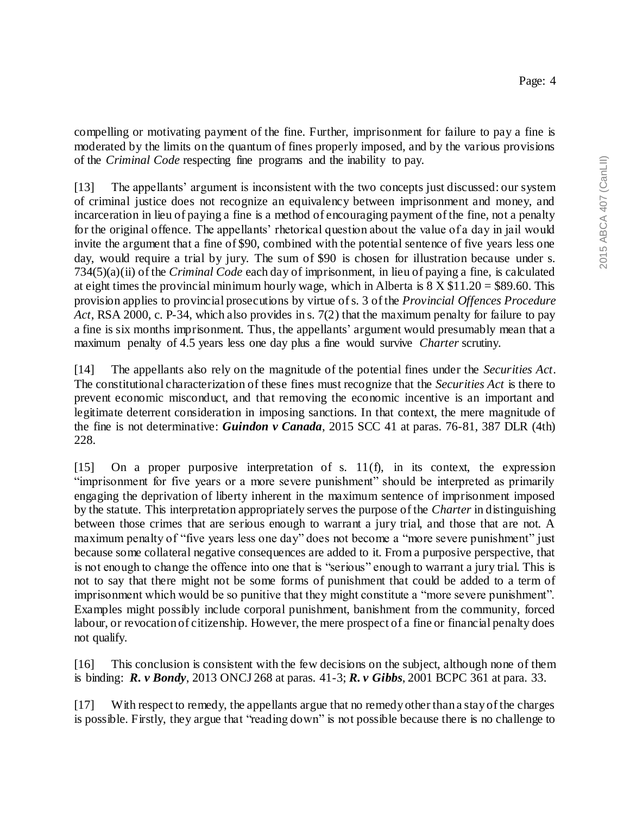compelling or motivating payment of the fine. Further, imprisonment for failure to pay a fine is moderated by the limits on the quantum of fines properly imposed, and by the various provisions of the *Criminal Code* respecting fine programs and the inability to pay.

[13] The appellants' argument is inconsistent with the two concepts just discussed: our system of criminal justice does not recognize an equivalency between imprisonment and money, and incarceration in lieu of paying a fine is a method of encouraging payment of the fine, not a penalty for the original offence. The appellants' rhetorical question about the value of a day in jail would invite the argument that a fine of \$90, combined with the potential sentence of five years less one day, would require a trial by jury. The sum of \$90 is chosen for illustration because under s. 734(5)(a)(ii) of the *Criminal Code* each day of imprisonment, in lieu of paying a fine, is calculated at eight times the provincial minimum hourly wage, which in Alberta is  $8 \times \$11.20 = \$89.60$ . This provision applies to provincial prosecutions by virtue of s. 3 of the *Provincial Offences Procedure Act*, RSA 2000, c. P-34, which also provides in s. 7(2) that the maximum penalty for failure to pay a fine is six months imprisonment. Thus, the appellants' argument would presumably mean that a maximum penalty of 4.5 years less one day plus a fine would survive *Charter* scrutiny.

[14] The appellants also rely on the magnitude of the potential fines under the *Securities Act*. The constitutional characterization of these fines must recognize that the *Securities Act* is there to prevent economic misconduct, and that removing the economic incentive is an important and legitimate deterrent consideration in imposing sanctions. In that context, the mere magnitude of the fine is not determinative: *Guindon v Canada*, 2015 SCC 41 at paras. 76-81, 387 DLR (4th) 228.

[15] On a proper purposive interpretation of s. 11(f), in its context, the expression "imprisonment for five years or a more severe punishment" should be interpreted as primarily engaging the deprivation of liberty inherent in the maximum sentence of imprisonment imposed by the statute. This interpretation appropriately serves the purpose of the *Charter* in distinguishing between those crimes that are serious enough to warrant a jury trial, and those that are not. A maximum penalty of "five years less one day" does not become a "more severe punishment" just because some collateral negative consequences are added to it. From a purposive perspective, that is not enough to change the offence into one that is "serious" enough to warrant a jury trial. This is not to say that there might not be some forms of punishment that could be added to a term of imprisonment which would be so punitive that they might constitute a "more severe punishment". Examples might possibly include corporal punishment, banishment from the community, forced labour, or revocation of citizenship. However, the mere prospect of a fine or financial penalty does not qualify.

[16] This conclusion is consistent with the few decisions on the subject, although none of them is binding: *R. v Bondy*, 2013 ONCJ 268 at paras. 41-3; *R. v Gibbs*, 2001 BCPC 361 at para. 33.

[17] With respect to remedy, the appellants argue that no remedy other than a stay of the charges is possible. Firstly, they argue that "reading down" is not possible because there is no challenge to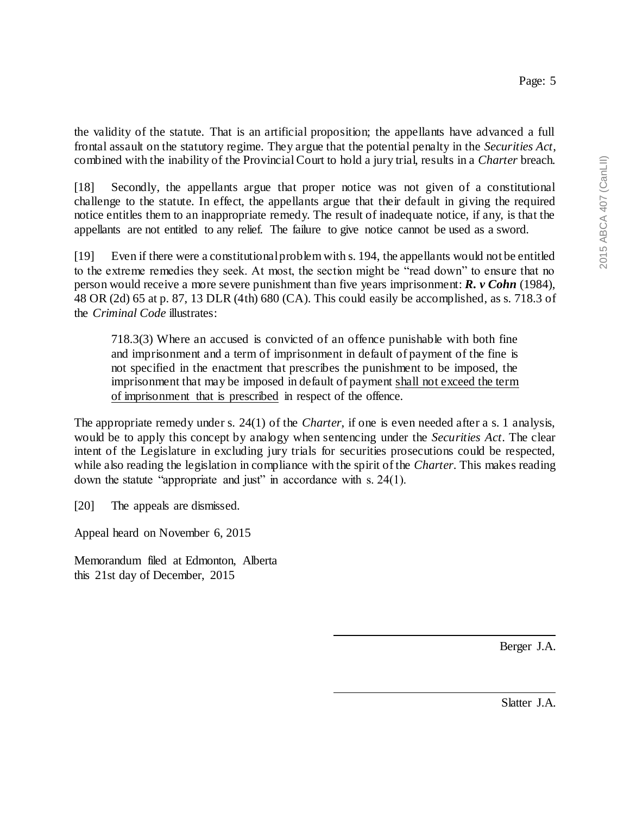the validity of the statute. That is an artificial proposition; the appellants have advanced a full frontal assault on the statutory regime. They argue that the potential penalty in the *Securities Act*, combined with the inability of the Provincial Court to hold a jury trial, results in a *Charter* breach.

[18] Secondly, the appellants argue that proper notice was not given of a constitutional challenge to the statute. In effect, the appellants argue that their default in giving the required notice entitles them to an inappropriate remedy. The result of inadequate notice, if any, is that the appellants are not entitled to any relief. The failure to give notice cannot be used as a sword.

[19] Even if there were a constitutional problem with s. 194, the appellants would not be entitled to the extreme remedies they seek. At most, the section might be "read down" to ensure that no person would receive a more severe punishment than five years imprisonment: *R. v Cohn* (1984), 48 OR (2d) 65 at p. 87, 13 DLR (4th) 680 (CA). This could easily be accomplished, as s. 718.3 of the *Criminal Code* illustrates:

718.3(3) Where an accused is convicted of an offence punishable with both fine and imprisonment and a term of imprisonment in default of payment of the fine is not specified in the enactment that prescribes the punishment to be imposed, the imprisonment that may be imposed in default of payment shall not exceed the term of imprisonment that is prescribed in respect of the offence.

The appropriate remedy under s. 24(1) of the *Charter*, if one is even needed after a s. 1 analysis, would be to apply this concept by analogy when sentencing under the *Securities Act*. The clear intent of the Legislature in excluding jury trials for securities prosecutions could be respected, while also reading the legislation in compliance with the spirit of the *Charter*. This makes reading down the statute "appropriate and just" in accordance with s. 24(1).

[20] The appeals are dismissed.

Appeal heard on November 6, 2015

Memorandum filed at Edmonton, Alberta this 21st day of December, 2015

Berger J.A.

Slatter J.A.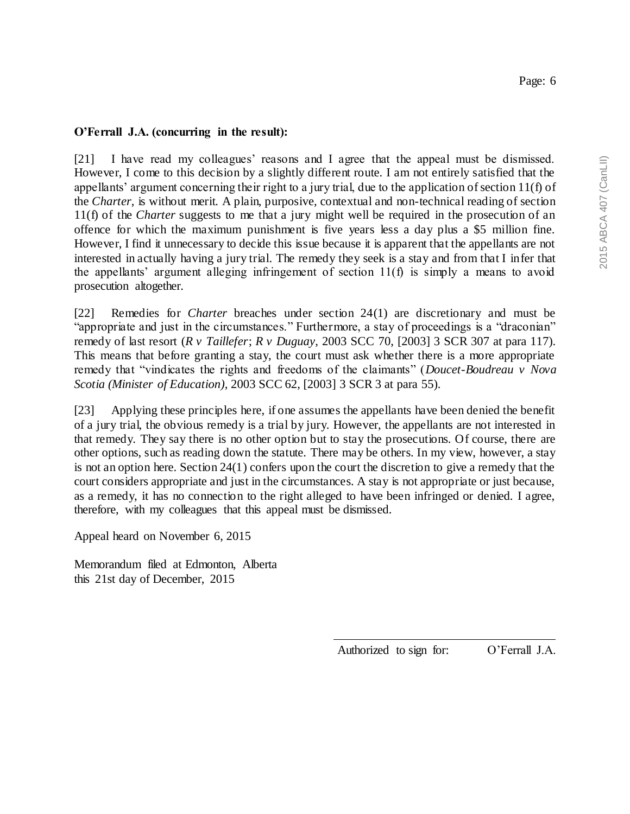### **O'Ferrall J.A. (concurring in the result):**

[21] I have read my colleagues' reasons and I agree that the appeal must be dismissed. However, I come to this decision by a slightly different route. I am not entirely satisfied that the appellants' argument concerning their right to a jury trial, due to the application of section 11(f) of the *Charter*, is without merit. A plain, purposive, contextual and non-technical reading of section 11(f) of the *Charter* suggests to me that a jury might well be required in the prosecution of an offence for which the maximum punishment is five years less a day plus a \$5 million fine. However, I find it unnecessary to decide this issue because it is apparent that the appellants are not interested in actually having a jury trial. The remedy they seek is a stay and from that I infer that the appellants' argument alleging infringement of section 11(f) is simply a means to avoid prosecution altogether.

[22] Remedies for *Charter* breaches under section 24(1) are discretionary and must be "appropriate and just in the circumstances." Furthermore, a stay of proceedings is a "draconian" remedy of last resort (*R v Taillefer*; *R v Duguay*, 2003 SCC 70, [2003] 3 SCR 307 at para 117). This means that before granting a stay, the court must ask whether there is a more appropriate remedy that "vindicates the rights and freedoms of the claimants" (*Doucet-Boudreau v Nova Scotia (Minister of Education)*, 2003 SCC 62, [2003] 3 SCR 3 at para 55).

[23] Applying these principles here, if one assumes the appellants have been denied the benefit of a jury trial, the obvious remedy is a trial by jury. However, the appellants are not interested in that remedy. They say there is no other option but to stay the prosecutions. Of course, there are other options, such as reading down the statute. There may be others. In my view, however, a stay is not an option here. Section 24(1) confers upon the court the discretion to give a remedy that the court considers appropriate and just in the circumstances. A stay is not appropriate or just because, as a remedy, it has no connection to the right alleged to have been infringed or denied. I agree, therefore, with my colleagues that this appeal must be dismissed.

Appeal heard on November 6, 2015

Memorandum filed at Edmonton, Alberta this 21st day of December, 2015

Authorized to sign for: O'Ferrall J.A.